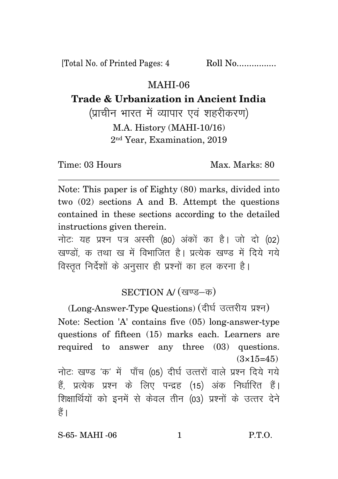[Total No. of Printed Pages: 4 Roll No.................

## MAHI-06

## **Trade & Urbanization in Ancient India**

(प्राचीन भारत में व्यापार एवं शहरीकरण)

M.A. History (MAHI-10/16) 2 nd Year, Examination, 2019

Time: 03 Hours Max. Marks: 80

Note: This paper is of Eighty (80) marks, divided into two (02) sections A and B. Attempt the questions contained in these sections according to the detailed instructions given therein.

नोट: यह प्रश्न पत्र अस्सी (80) अंकों का है। जो दो (02) खण्डों क तथा ख में विभाजित है। प्रत्येक खण्ड में दिये गये विस्तृत निर्देशों के अनुसार ही प्रश्नों का हल करना है।

## $SECTION A/(QVg – \overline{\Phi})$

(Long-Answer-Type Questions) (दीर्घ उत्तरीय प्रश्न) Note: Section 'A' contains five (05) long-answer-type questions of fifteen (15) marks each. Learners are required to answer any three (03) questions.  $(3\times15=45)$ नोटः खण्ड 'क' में पाँच (05) दीर्घ उत्तरों वाले प्रश्न दिये गये हैं, प्रत्येक प्रश्न के लिए पन्द्रह (15) अंक निर्धारित हैं। शिक्षार्थियों को इनमें से केवल तीन (03) प्रश्नों के उत्तर देने हैं ।

S-65- MAHI -06 1 P.T.O.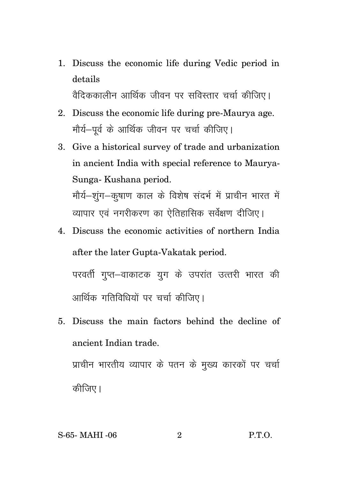1. Discuss the economic life during Vedic period in details वैदिककालीन आर्थिक जीवन पर सविस्तार चर्चा कीजिए।

2. Discuss the economic life during pre-Maurya age. मौर्य-पर्व के आर्थिक जीवन पर चर्चा कीजिए।

3. Give a historical survey of trade and urbanization in ancient India with special reference to Maurya-Sunga- Kushana period. मौर्य–शूंग–कुषाण काल के विशेष संदर्भ में प्राचीन भारत में

व्यापार एवं नगरीकरण का ऐतिहासिक सर्वेक्षण दीजिए।

- 4. Discuss the economic activities of northern India after the later Gupta-Vakatak period. परवर्ती गुप्त–वाकाटक युग के उपरांत उत्तरी भारत की आर्थिक गतिविधियों पर चर्चा कीजिए।
- 5. Discuss the main factors behind the decline of ancient Indian trade.

प्राचीन भारतीय व्यापार के पतन के मुख्य कारकों पर चर्चा कीजिए।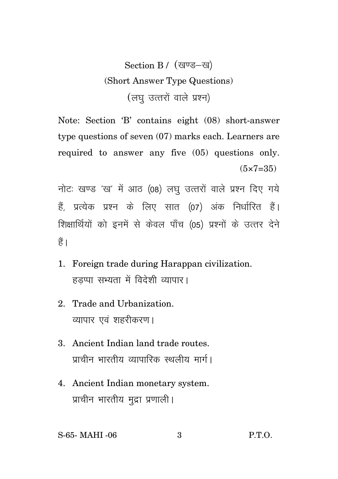## Section B / (खण्ड-ख) (Short Answer Type Questions) (लघु उत्तरों वाले प्रश्न)

Note: Section 'B' contains eight (08) short-answer type questions of seven (07) marks each. Learners are required to answer any five (05) questions only.  $(5 \times 7 = 35)$ 

नोटः खण्ड 'ख' में आठ (08) लघु उत्तरों वाले प्रश्न दिए गये हैं. प्रत्येक प्रश्न के लिए सात (07) अंक निर्धारित हैं। शिक्षार्थियों को इनमें से केवल पाँच (05) प्रश्नों के उत्तर देने  $\frac{4}{5}$ 

- 1. Foreign trade during Harappan civilization. हडप्पा सभ्यता में विदेशी व्यापार।
- 2. Trade and Urbanization. व्यापार एवं शहरीकरण।
- 3. Ancient Indian land trade routes. प्राचीन भारतीय व्यापारिक स्थलीय मार्ग।
- 4. Ancient Indian monetary system. प्राचीन भारतीय मुद्रा प्रणाली।